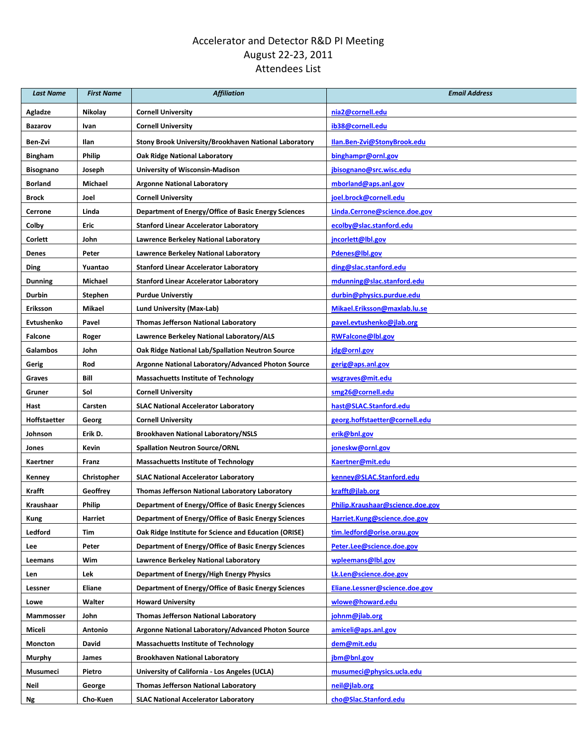## Accelerator and Detector R&D PI Meeting August 22-23, 2011 Attendees List

| <b>Last Name</b>    | <b>First Name</b> | <b>Affiliation</b>                                    | <b>Email Address</b>             |
|---------------------|-------------------|-------------------------------------------------------|----------------------------------|
| Agladze             | Nikolay           | <b>Cornell University</b>                             | nia2@cornell.edu                 |
| <b>Bazarov</b>      | Ivan              | <b>Cornell University</b>                             | ib38@cornell.edu                 |
| Ben-Zvi             | Ilan              | Stony Brook University/Brookhaven National Laboratory | Ilan.Ben-Zvi@StonyBrook.edu      |
| <b>Bingham</b>      | <b>Philip</b>     | <b>Oak Ridge National Laboratory</b>                  | binghampr@ornl.gov               |
| Bisognano           | Joseph            | <b>University of Wisconsin-Madison</b>                | jbisognano@src.wisc.edu          |
| Borland             | Michael           | <b>Argonne National Laboratory</b>                    | mborland@aps.anl.gov             |
| Brock               | Joel              | <b>Cornell University</b>                             | joel.brock@cornell.edu           |
| Cerrone             | Linda             | Department of Energy/Office of Basic Energy Sciences  | Linda.Cerrone@science.doe.gov    |
| Colby               | Eric              | <b>Stanford Linear Accelerator Laboratory</b>         | ecolby@slac.stanford.edu         |
| Corlett             | John              | Lawrence Berkeley National Laboratory                 | jncorlett@lbl.gov                |
| Denes               | Peter             | Lawrence Berkeley National Laboratory                 | Pdenes@lbl.gov                   |
| Ding                | Yuantao           | <b>Stanford Linear Accelerator Laboratory</b>         | ding@slac.stanford.edu           |
| <b>Dunning</b>      | Michael           | <b>Stanford Linear Accelerator Laboratory</b>         | mdunning@slac.stanford.edu       |
| Durbin              | Stephen           | <b>Purdue Universtiv</b>                              | durbin@physics.purdue.edu        |
| Eriksson            | Mikael            | Lund University (Max-Lab)                             | Mikael.Eriksson@maxlab.lu.se     |
| Evtushenko          | Pavel             | <b>Thomas Jefferson National Laboratory</b>           | pavel.evtushenko@jlab.org        |
| Falcone             | Roger             | Lawrence Berkeley National Laboratory/ALS             | <b>RWFalcone@lbl.gov</b>         |
| Galambos            | John              | Oak Ridge National Lab/Spallation Neutron Source      | jdg@ornl.gov                     |
| Gerig               | Rod               | Argonne National Laboratory/Advanced Photon Source    | gerig@aps.anl.gov                |
| Graves              | Bill              | <b>Massachuetts Institute of Technology</b>           | wsgraves@mit.edu                 |
| Gruner              | Sol               | <b>Cornell University</b>                             | smg26@cornell.edu                |
| Hast                | Carsten           | <b>SLAC National Accelerator Laboratory</b>           | hast@SLAC.Stanford.edu           |
| <b>Hoffstaetter</b> | Georg             | <b>Cornell University</b>                             | georg.hoffstaetter@cornell.edu   |
| Johnson             | Erik D.           | <b>Brookhaven National Laboratory/NSLS</b>            | erik@bnl.gov                     |
| Jones               | Kevin             | <b>Spallation Neutron Source/ORNL</b>                 | joneskw@ornl.gov                 |
| Kaertner            | Franz             | <b>Massachuetts Institute of Technology</b>           | Kaertner@mit.edu                 |
| Kenney              | Christopher       | <b>SLAC National Accelerator Laboratory</b>           | kenney@SLAC.Stanford.edu         |
| Krafft              | Geoffrey          | Thomas Jefferson National Laboratory Laboratory       | krafft@jlab.org                  |
| <b>Kraushaar</b>    | Philip            | Department of Energy/Office of Basic Energy Sciences  | Philip.Kraushaar@science.doe.gov |
| Kung                | Harriet           | Department of Energy/Office of Basic Energy Sciences  | Harriet.Kung@science.doe.gov     |
| Ledford             | Tim               | Oak Ridge Institute for Science and Education (ORISE) | tim.ledford@orise.orau.gov       |
| Lee                 | Peter             | Department of Energy/Office of Basic Energy Sciences  | Peter.Lee@science.doe.gov        |
| Leemans             | Wim               | Lawrence Berkeley National Laboratory                 | wpleemans@lbl.gov                |
| Len                 | Lek               | Department of Energy/High Energy Physics              | Lk.Len@science.doe.gov           |
| Lessner             | Eliane            | Department of Energy/Office of Basic Energy Sciences  | Eliane.Lessner@science.doe.gov   |
| Lowe                | Walter            | <b>Howard University</b>                              | wlowe@howard.edu                 |
| Mammosser           | John              | Thomas Jefferson National Laboratory                  | johnm@jlab.org                   |
| Miceli              | Antonio           | Argonne National Laboratory/Advanced Photon Source    | amiceli@aps.anl.gov              |
| Moncton             | David             | <b>Massachuetts Institute of Technology</b>           | dem@mit.edu                      |
| Murphy              | James             | <b>Brookhaven National Laboratory</b>                 | jbm@bnl.gov                      |
| Musumeci            | Pietro            | University of California - Los Angeles (UCLA)         | musumeci@physics.ucla.edu        |
| Neil                | George            | <b>Thomas Jefferson National Laboratory</b>           | neil@jlab.org                    |
| Ng                  | Cho-Kuen          | <b>SLAC National Accelerator Laboratory</b>           | cho@Slac.Stanford.edu            |